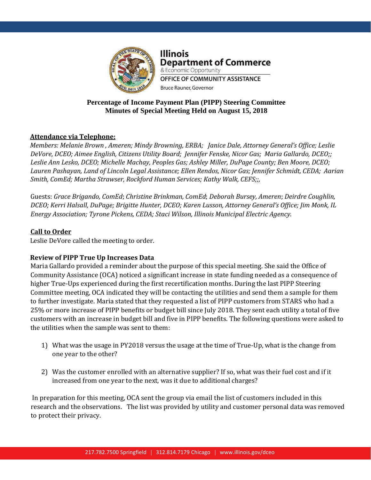

**Illinois Department of Commerce** & Economic Opportunity OFFICE OF COMMUNITY ASSISTANCE

# **Percentage of Income Payment Plan (PIPP) Steering Committee Minutes of Special Meeting Held on August 15, 2018**

**Bruce Rauner, Governor** 

# **Attendance via Telephone:**

*Members: Melanie Brown , Ameren; Mindy Browning, ERBA; Janice Dale, Attorney General's Office; Leslie DeVore, DCEO; Aimee English, Citizens Utility Board; Jennifer Fenske, Nicor Gas; Maria Gallardo, DCEO;; Leslie Ann Lesko, DCEO; Michelle Machay, Peoples Gas; Ashley Miller, DuPage County; Ben Moore, DCEO; Lauren Pashayan, Land of Lincoln Legal Assistance; Ellen Rendos, Nicor Gas; Jennifer Schmidt, CEDA; Aarian Smith, ComEd; Martha Strawser, Rockford Human Services; Kathy Walk, CEFS;;,*

Guests: *Grace Brigando, ComEd*; *Christine Brinkman, ComEd*; *Deborah Bursey, Ameren*; *Deirdre Coughlin, DCEO; Kerri Halsall, DuPage; Brigitte Hunter, DCEO; Karen Lusson, Attorney General's Office; Jim Monk, IL Energy Association; Tyrone Pickens, CEDA; Staci Wilson, Illinois Municipal Electric Agency.*

# **Call to Order**

Leslie DeVore called the meeting to order.

## **Review of PIPP True Up Increases Data**

Maria Gallardo provided a reminder about the purpose of this special meeting. She said the Office of Community Assistance (OCA) noticed a significant increase in state funding needed as a consequence of higher True-Ups experienced during the first recertification months. During the last PIPP Steering Committee meeting, OCA indicated they will be contacting the utilities and send them a sample for them to further investigate. Maria stated that they requested a list of PIPP customers from STARS who had a 25% or more increase of PIPP benefits or budget bill since July 2018. They sent each utility a total of five customers with an increase in budget bill and five in PIPP benefits. The following questions were asked to the utilities when the sample was sent to them:

- 1) What was the usage in PY2018 versus the usage at the time of True-Up, what is the change from one year to the other?
- 2) Was the customer enrolled with an alternative supplier? If so, what was their fuel cost and if it increased from one year to the next, was it due to additional charges?

In preparation for this meeting, OCA sent the group via email the list of customers included in this research and the observations. The list was provided by utility and customer personal data was removed to protect their privacy.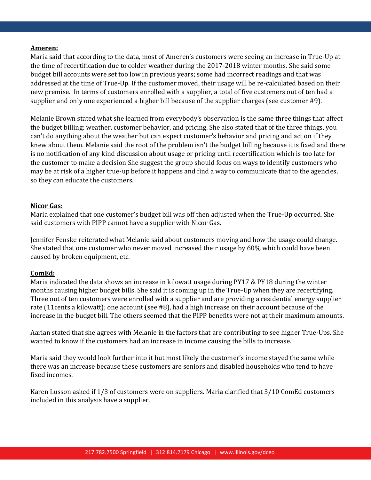#### **Ameren:**

Maria said that according to the data, most of Ameren's customers were seeing an increase in True-Up at the time of recertification due to colder weather during the 2017-2018 winter months. She said some budget bill accounts were set too low in previous years; some had incorrect readings and that was addressed at the time of True-Up. If the customer moved, their usage will be re-calculated based on their new premise. In terms of customers enrolled with a supplier, a total of five customers out of ten had a supplier and only one experienced a higher bill because of the supplier charges (see customer #9).

Melanie Brown stated what she learned from everybody's observation is the same three things that affect the budget billing: weather, customer behavior, and pricing. She also stated that of the three things, you can't do anything about the weather but can expect customer's behavior and pricing and act on if they knew about them. Melanie said the root of the problem isn't the budget billing because it is fixed and there is no notification of any kind discussion about usage or pricing until recertification which is too late for the customer to make a decision She suggest the group should focus on ways to identify customers who may be at risk of a higher true-up before it happens and find a way to communicate that to the agencies, so they can educate the customers.

#### **Nicor Gas:**

Maria explained that one customer's budget bill was off then adjusted when the True-Up occurred. She said customers with PIPP cannot have a supplier with Nicor Gas.

Jennifer Fenske reiterated what Melanie said about customers moving and how the usage could change. She stated that one customer who never moved increased their usage by 60% which could have been caused by broken equipment, etc.

#### **ComEd:**

Maria indicated the data shows an increase in kilowatt usage during PY17 & PY18 during the winter months causing higher budget bills. She said it is coming up in the True-Up when they are recertifying. Three out of ten customers were enrolled with a supplier and are providing a residential energy supplier rate (11cents a kilowatt); one account (see #8), had a high increase on their account because of the increase in the budget bill. The others seemed that the PIPP benefits were not at their maximum amounts.

Aarian stated that she agrees with Melanie in the factors that are contributing to see higher True-Ups. She wanted to know if the customers had an increase in income causing the bills to increase.

Maria said they would look further into it but most likely the customer's income stayed the same while there was an increase because these customers are seniors and disabled households who tend to have fixed incomes.

Karen Lusson asked if 1/3 of customers were on suppliers. Maria clarified that 3/10 ComEd customers included in this analysis have a supplier.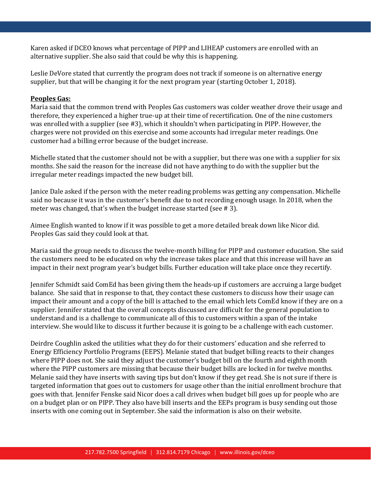Karen asked if DCEO knows what percentage of PIPP and LIHEAP customers are enrolled with an alternative supplier. She also said that could be why this is happening.

Leslie DeVore stated that currently the program does not track if someone is on alternative energy supplier, but that will be changing it for the next program year (starting October 1, 2018).

## **Peoples Gas:**

Maria said that the common trend with Peoples Gas customers was colder weather drove their usage and therefore, they experienced a higher true-up at their time of recertification. One of the nine customers was enrolled with a supplier (see #3), which it shouldn't when participating in PIPP. However, the charges were not provided on this exercise and some accounts had irregular meter readings. One customer had a billing error because of the budget increase.

Michelle stated that the customer should not be with a supplier, but there was one with a supplier for six months. She said the reason for the increase did not have anything to do with the supplier but the irregular meter readings impacted the new budget bill.

Janice Dale asked if the person with the meter reading problems was getting any compensation. Michelle said no because it was in the customer's benefit due to not recording enough usage. In 2018, when the meter was changed, that's when the budget increase started (see # 3).

Aimee English wanted to know if it was possible to get a more detailed break down like Nicor did. Peoples Gas said they could look at that.

Maria said the group needs to discuss the twelve-month billing for PIPP and customer education. She said the customers need to be educated on why the increase takes place and that this increase will have an impact in their next program year's budget bills. Further education will take place once they recertify.

Jennifer Schmidt said ComEd has been giving them the heads-up if customers are accruing a large budget balance. She said that in response to that, they contact these customers to discuss how their usage can impact their amount and a copy of the bill is attached to the email which lets ComEd know if they are on a supplier. Jennifer stated that the overall concepts discussed are difficult for the general population to understand and is a challenge to communicate all of this to customers within a span of the intake interview. She would like to discuss it further because it is going to be a challenge with each customer.

Deirdre Coughlin asked the utilities what they do for their customers' education and she referred to Energy Efficiency Portfolio Programs (EEPS). Melanie stated that budget billing reacts to their changes where PIPP does not. She said they adjust the customer's budget bill on the fourth and eighth month where the PIPP customers are missing that because their budget bills are locked in for twelve months. Melanie said they have inserts with saving tips but don't know if they get read. She is not sure if there is targeted information that goes out to customers for usage other than the initial enrollment brochure that goes with that. Jennifer Fenske said Nicor does a call drives when budget bill goes up for people who are on a budget plan or on PIPP. They also have bill inserts and the EEPs program is busy sending out those inserts with one coming out in September. She said the information is also on their website.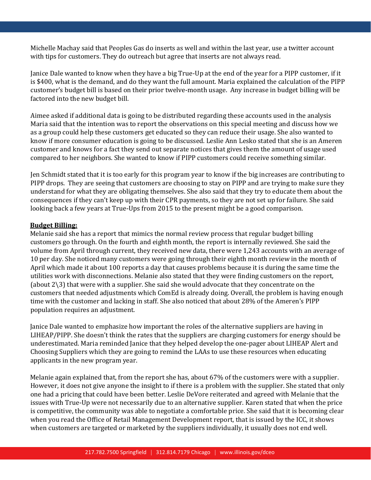Michelle Machay said that Peoples Gas do inserts as well and within the last year, use a twitter account with tips for customers. They do outreach but agree that inserts are not always read.

Janice Dale wanted to know when they have a big True-Up at the end of the year for a PIPP customer, if it is \$400, what is the demand, and do they want the full amount. Maria explained the calculation of the PIPP customer's budget bill is based on their prior twelve-month usage. Any increase in budget billing will be factored into the new budget bill.

Aimee asked if additional data is going to be distributed regarding these accounts used in the analysis Maria said that the intention was to report the observations on this special meeting and discuss how we as a group could help these customers get educated so they can reduce their usage. She also wanted to know if more consumer education is going to be discussed. Leslie Ann Lesko stated that she is an Ameren customer and knows for a fact they send out separate notices that gives them the amount of usage used compared to her neighbors. She wanted to know if PIPP customers could receive something similar.

Jen Schmidt stated that it is too early for this program year to know if the big increases are contributing to PIPP drops. They are seeing that customers are choosing to stay on PIPP and are trying to make sure they understand for what they are obligating themselves. She also said that they try to educate them about the consequences if they can't keep up with their CPR payments, so they are not set up for failure. She said looking back a few years at True-Ups from 2015 to the present might be a good comparison.

## **Budget Billing:**

Melanie said she has a report that mimics the normal review process that regular budget billing customers go through. On the fourth and eighth month, the report is internally reviewed. She said the volume from April through current, they received new data, there were 1,243 accounts with an average of 10 per day. She noticed many customers were going through their eighth month review in the month of April which made it about 100 reports a day that causes problems because it is during the same time the utilities work with disconnections. Melanie also stated that they were finding customers on the report, (about 2\3) that were with a supplier. She said she would advocate that they concentrate on the customers that needed adjustments which ComEd is already doing. Overall, the problem is having enough time with the customer and lacking in staff. She also noticed that about 28% of the Ameren's PIPP population requires an adjustment.

Janice Dale wanted to emphasize how important the roles of the alternative suppliers are having in LIHEAP/PIPP. She doesn't think the rates that the suppliers are charging customers for energy should be underestimated. Maria reminded Janice that they helped develop the one-pager about LIHEAP Alert and Choosing Suppliers which they are going to remind the LAAs to use these resources when educating applicants in the new program year.

Melanie again explained that, from the report she has, about 67% of the customers were with a supplier. However, it does not give anyone the insight to if there is a problem with the supplier. She stated that only one had a pricing that could have been better. Leslie DeVore reiterated and agreed with Melanie that the issues with True-Up were not necessarily due to an alternative supplier. Karen stated that when the price is competitive, the community was able to negotiate a comfortable price. She said that it is becoming clear when you read the Office of Retail Management Development report, that is issued by the ICC, it shows when customers are targeted or marketed by the suppliers individually, it usually does not end well.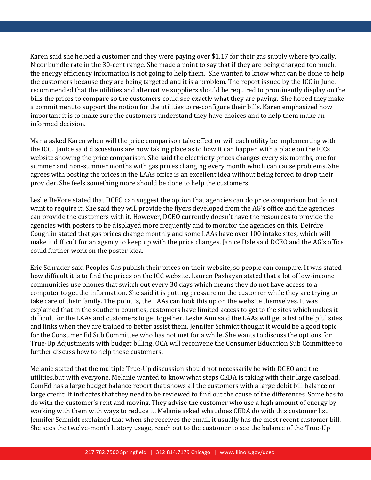Karen said she helped a customer and they were paying over \$1.17 for their gas supply where typically, Nicor bundle rate in the 30-cent range. She made a point to say that if they are being charged too much, the energy efficiency information is not going to help them. She wanted to know what can be done to help the customers because they are being targeted and it is a problem. The report issued by the ICC in June, recommended that the utilities and alternative suppliers should be required to prominently display on the bills the prices to compare so the customers could see exactly what they are paying. She hoped they make a commitment to support the notion for the utilities to re-configure their bills. Karen emphasized how important it is to make sure the customers understand they have choices and to help them make an informed decision.

Maria asked Karen when will the price comparison take effect or will each utility be implementing with the ICC. Janice said discussions are now taking place as to how it can happen with a place on the ICCs website showing the price comparison. She said the electricity prices changes every six months, one for summer and non-summer months with gas prices changing every month which can cause problems. She agrees with posting the prices in the LAAs office is an excellent idea without being forced to drop their provider. She feels something more should be done to help the customers.

Leslie DeVore stated that DCEO can suggest the option that agencies can do price comparison but do not want to require it. She said they will provide the flyers developed from the AG's office and the agencies can provide the customers with it. However, DCEO currently doesn't have the resources to provide the agencies with posters to be displayed more frequently and to monitor the agencies on this. Deirdre Coughlin stated that gas prices change monthly and some LAAs have over 100 intake sites, which will make it difficult for an agency to keep up with the price changes. Janice Dale said DCEO and the AG's office could further work on the poster idea.

Eric Schrader said Peoples Gas publish their prices on their website, so people can compare. It was stated how difficult it is to find the prices on the ICC website. Lauren Pashayan stated that a lot of low-income communities use phones that switch out every 30 days which means they do not have access to a computer to get the information. She said it is putting pressure on the customer while they are trying to take care of their family. The point is, the LAAs can look this up on the website themselves. It was explained that in the southern counties, customers have limited access to get to the sites which makes it difficult for the LAAs and customers to get together. Leslie Ann said the LAAs will get a list of helpful sites and links when they are trained to better assist them. Jennifer Schmidt thought it would be a good topic for the Consumer Ed Sub Committee who has not met for a while. She wants to discuss the options for True-Up Adjustments with budget billing. OCA will reconvene the Consumer Education Sub Committee to further discuss how to help these customers.

Melanie stated that the multiple True-Up discussion should not necessarily be with DCEO and the utilities,but with everyone. Melanie wanted to know what steps CEDA is taking with their large caseload. ComEd has a large budget balance report that shows all the customers with a large debit bill balance or large credit. It indicates that they need to be reviewed to find out the cause of the differences. Some has to do with the customer's rent and moving. They advise the customer who use a high amount of energy by working with them with ways to reduce it. Melanie asked what does CEDA do with this customer list. Jennifer Schmidt explained that when she receives the email, it usually has the most recent customer bill. She sees the twelve-month history usage, reach out to the customer to see the balance of the True-Up